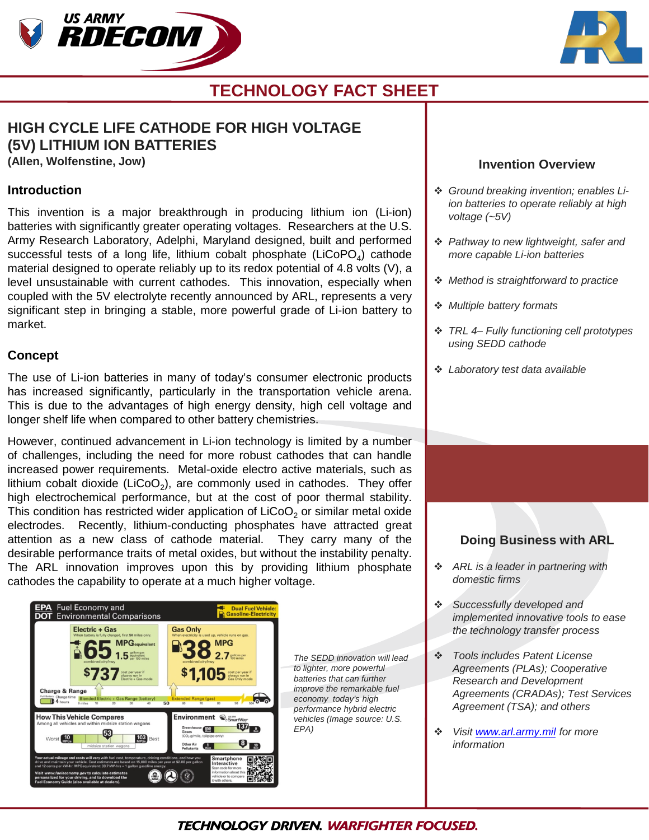



# **TECHNOLOGY FACT SHEET**

# **HIGH CYCLE LIFE CATHODE FOR HIGH VOLTAGE (5V) LITHIUM ION BATTERIES**

**(Allen, Wolfenstine, Jow)**

### **Introduction**

This invention is a major breakthrough in producing lithium ion (Li-ion) batteries with significantly greater operating voltages. Researchers at the U.S. Army Research Laboratory, Adelphi, Maryland designed, built and performed successful tests of a long life, lithium cobalt phosphate ( $LiCoPO<sub>4</sub>$ ) cathode material designed to operate reliably up to its redox potential of 4.8 volts (V), a level unsustainable with current cathodes. This innovation, especially when coupled with the 5V electrolyte recently announced by ARL, represents a very significant step in bringing a stable, more powerful grade of Li-ion battery to market.

#### **Concept**

The use of Li-ion batteries in many of today's consumer electronic products has increased significantly, particularly in the transportation vehicle arena. This is due to the advantages of high energy density, high cell voltage and longer shelf life when compared to other battery chemistries.

However, continued advancement in Li-ion technology is limited by a number of challenges, including the need for more robust cathodes that can handle increased power requirements. Metal-oxide electro active materials, such as lithium cobalt dioxide ( $LiCoO<sub>2</sub>$ ), are commonly used in cathodes. They offer high electrochemical performance, but at the cost of poor thermal stability. This condition has restricted wider application of  $LiCoO<sub>2</sub>$  or similar metal oxide electrodes. Recently, lithium-conducting phosphates have attracted great attention as a new class of cathode material. They carry many of the desirable performance traits of metal oxides, but without the instability penalty. The ARL innovation improves upon this by providing lithium phosphate cathodes the capability to operate at a much higher voltage.



*The SEDD innovation will lead to lighter, more powerful batteries that can further improve the remarkable fuel economy today's high performance hybrid electric vehicles (Image source: U.S. EPA)* 

#### **Invention Overview**

- *Ground breaking invention; enables Liion batteries to operate reliably at high voltage (~5V)*
- *Pathway to new lightweight, safer and more capable Li-ion batteries*
- *Method is straightforward to practice*
- *Multiple battery formats*
- *TRL 4– Fully functioning cell prototypes using SEDD cathode*
- *Laboratory test data available*

# **Doing Business with ARL**

- *ARL is a leader in partnering with domestic firms*
- *Successfully developed and implemented innovative tools to ease the technology transfer process*
- *Tools includes Patent License Agreements (PLAs); Cooperative Research and Development Agreements (CRADAs); Test Services Agreement (TSA); and others*
- *Visit [www.arl.army.mil](http://www.arl.army.mil/) for more information*

### TECHNOLOGY DRIVEN. WARFIGHTER FOCUSED.